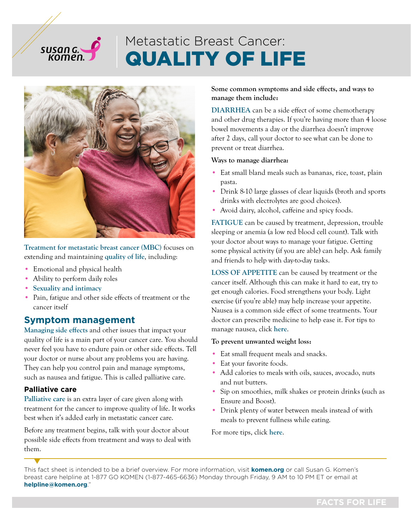# QUALITY OF LIFE Metastatic Breast Cancer:



[Treatment for metastatic breast cancer \(MBC\)](https://www.komen.org/breast-cancer/treatment/by-diagnosis/metastatic/) focuses on extending and maintaining [quality of life](https://www.komen.org/breast-cancer/metastatic/quality-of-life/), including:

- Emotional and physical health
- Ability to perform daily roles
- [Sexuality and intimacy](https://www.komen.org/breast-cancer/survivorship/health-concerns/sex-intimacy/ )

susan G

• Pain, fatigue and other side effects of treatment or the cancer itself

# **Symptom management**

[Managing side effects](https://www.komen.org/breast-cancer/metastatic/supportive-care/ ) and other issues that impact your quality of life is a main part of your cancer care. You should never feel you have to endure pain or other side effects. Tell your doctor or nurse about any problems you are having. They can help you control pain and manage symptoms, such as nausea and fatigue. This is called palliative care.

#### **Palliative care**

[Palliative care](https://www.komen.org/breast-cancer/metastatic/hospice-care/ ) is an extra layer of care given along with treatment for the cancer to improve quality of life. It works best when it's added early in metastatic cancer care.

Before any treatment begins, talk with your doctor about possible side effects from treatment and ways to deal with them.

Some common symptoms and side effects, and ways to manage them include:

[DIARRHEA](https://www.komen.org/breast-cancer/metastatic/supportive-care/#diarrhea ) can be a side effect of some chemotherapy and other drug therapies. If you're having more than 4 loose bowel movements a day or the diarrhea doesn't improve after 2 days, call your doctor to see what can be done to prevent or treat diarrhea.

#### Ways to manage diarrhea:

- Eat small bland meals such as bananas, rice, toast, plain pasta.
- Drink 8-10 large glasses of clear liquids (broth and sports drinks with electrolytes are good choices).
- Avoid dairy, alcohol, caffeine and spicy foods.

[FATIGUE](https://www.komen.org/breast-cancer/metastatic/supportive-care/#fatigue) can be caused by treatment, depression, trouble sleeping or anemia (a low red blood cell count). Talk with your doctor about ways to manage your fatigue. Getting some physical activity (if you are able) can help. Ask family and friends to help with day-to-day tasks.

[LOSS OF APPETITE](https://www.komen.org/breast-cancer/metastatic/supportive-care/#appetite) can be caused by treatment or the cancer itself. Although this can make it hard to eat, try to get enough calories. Food strengthens your body. Light exercise (if you're able) may help increase your appetite. Nausea is a common side effect of some treatments. Your doctor can prescribe medicine to help ease it. For tips to manage nausea, click [here](https://www.nccn.org/patients/guidelines/content/PDF/nausea-patient.pdf).

#### To prevent unwanted weight loss:

- Eat small frequent meals and snacks.
- Eat your favorite foods.
- Add calories to meals with oils, sauces, avocado, nuts and nut butters.
- Sip on smoothies, milk shakes or protein drinks (such as Ensure and Boost).
- Drink plenty of water between meals instead of with meals to prevent fullness while eating.

For more tips, click [here](https://www.cancer.gov/publications/patient-education/eating-hints).

This fact sheet is intended to be a brief overview. For more information, visit **[komen.org](https://www.komen.org/)** or call Susan G. Komen's breast care helpline at 1-877 GO KOMEN (1-877-465-6636) Monday through Friday, 9 AM to 10 PM ET or email at **[helpline@komen.org](mailto:helpline%40komen.org?subject=)**."